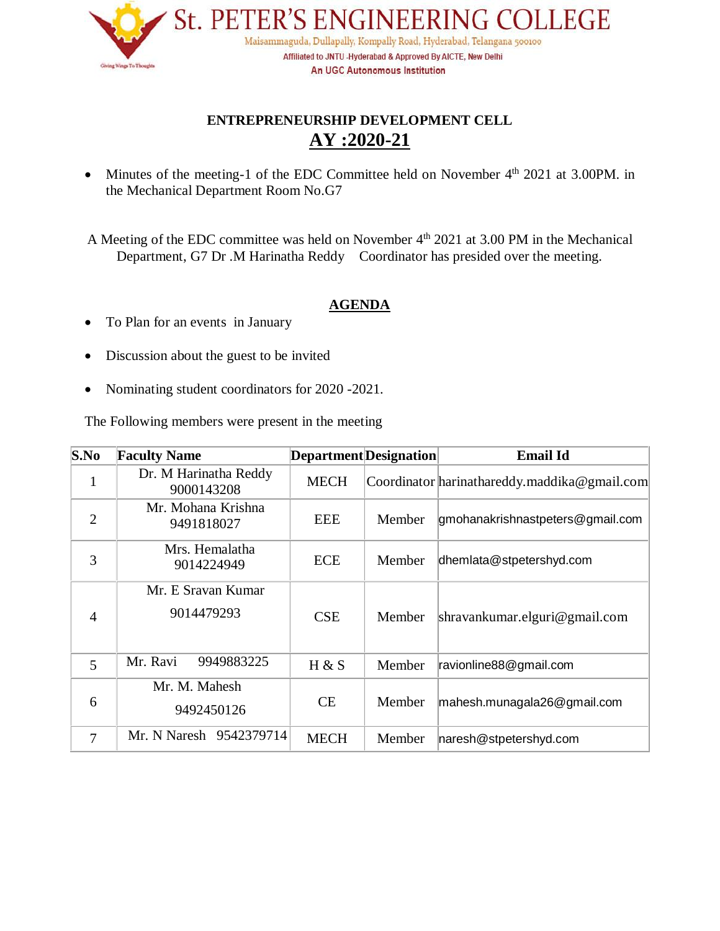

## **ENTREPRENEURSHIP DEVELOPMENT CELL AY :2020-21**

• Minutes of the meeting-1 of the EDC Committee held on November  $4<sup>th</sup>$  2021 at 3.00PM. in the Mechanical Department Room No.G7

A Meeting of the EDC committee was held on November  $4<sup>th</sup>$  2021 at 3.00 PM in the Mechanical Department, G7 Dr .M Harinatha Reddy Coordinator has presided over the meeting.

### **AGENDA**

- To Plan for an events in January
- Discussion about the guest to be invited
- Nominating student coordinators for 2020 -2021.

The Following members were present in the meeting

| S.No           | <b>Faculty Name</b>                 | Department Designation |        | <b>Email Id</b>                              |
|----------------|-------------------------------------|------------------------|--------|----------------------------------------------|
| $\mathbf{1}$   | Dr. M Harinatha Reddy<br>9000143208 | <b>MECH</b>            |        | Coordinator harinathareddy.maddika@gmail.com |
| $\overline{2}$ | Mr. Mohana Krishna<br>9491818027    | <b>EEE</b>             | Member | gmohanakrishnastpeters@gmail.com             |
| 3              | Mrs. Hemalatha<br>9014224949        | ECE                    | Member | dhemlata@stpetershyd.com                     |
| $\overline{4}$ | Mr. E Sravan Kumar<br>9014479293    | <b>CSE</b>             | Member | $shravankumar.$ elguri@gmail.com             |
| 5              | Mr. Ravi<br>9949883225              | H & S                  | Member | ravionline88@gmail.com                       |
| 6              | Mr. M. Mahesh<br>9492450126         | CE.                    | Member | mahesh.munagala26@gmail.com                  |
| $\tau$         | Mr. N Naresh 9542379714             | <b>MECH</b>            | Member | naresh@stpetershyd.com                       |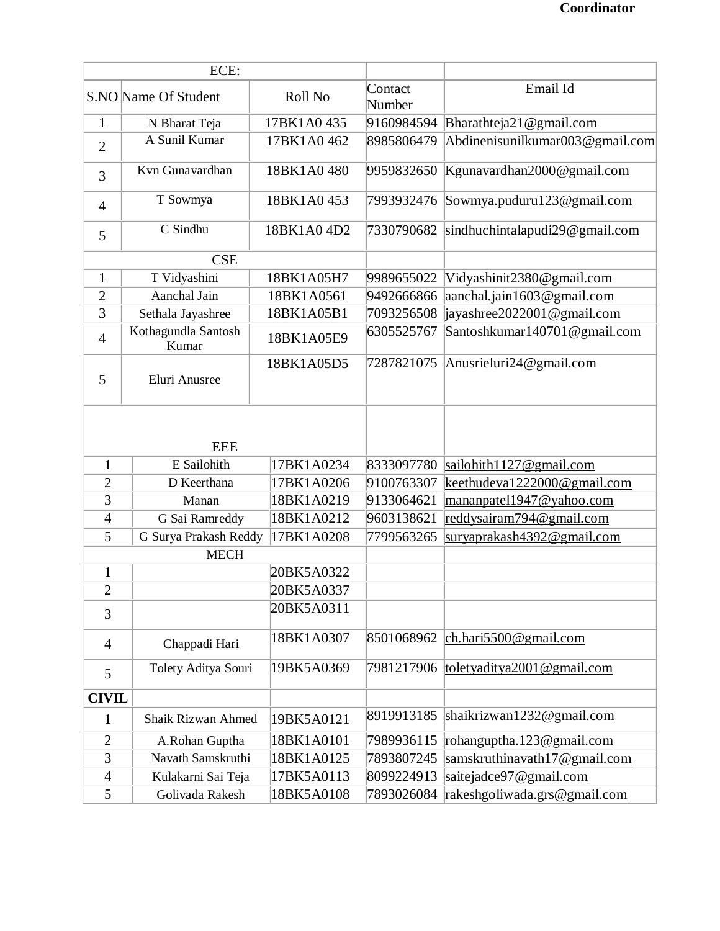| ECE:           |                              |             |                   |                                 |
|----------------|------------------------------|-------------|-------------------|---------------------------------|
|                | S.NO Name Of Student         | Roll No     | Contact<br>Number | Email Id                        |
| $\mathbf{1}$   | N Bharat Teja                | 17BK1A0435  | 9160984594        | Bharathteja21@gmail.com         |
| $\overline{2}$ | A Sunil Kumar                | 17BK1A0462  | 8985806479        | Abdinenisunilkumar003@gmail.com |
| 3              | Kvn Gunavardhan              | 18BK1A0480  | 9959832650        | Kgunavardhan2000@gmail.com      |
| $\overline{4}$ | T Sowmya                     | 18BK1A0453  | 7993932476        | Sowmya.puduru123@gmail.com      |
| 5              | C Sindhu                     | 18BK1A0 4D2 | 7330790682        | sindhuchintalapudi29@gmail.com  |
|                | <b>CSE</b>                   |             |                   |                                 |
| $\mathbf{1}$   | T Vidyashini                 | 18BK1A05H7  | 9989655022        | Vidyashinit2380@gmail.com       |
| $\overline{2}$ | Aanchal Jain                 | 18BK1A0561  | 9492666866        | aanchal.jain1603@gmail.com      |
| 3              | Sethala Jayashree            | 18BK1A05B1  | 7093256508        | jayashree2022001@gmail.com      |
| $\overline{4}$ | Kothagundla Santosh<br>Kumar | 18BK1A05E9  | 6305525767        | Santoshkumar140701@gmail.com    |
| 5              | Eluri Anusree                | 18BK1A05D5  | 7287821075        | Anusrieluri24@gmail.com         |
| <b>EEE</b>     |                              |             |                   |                                 |
| $\mathbf{1}$   | E Sailohith<br>17BK1A0234    |             | 8333097780        | sailohith1127@gmail.com         |
| $\overline{2}$ | D Keerthana                  | 17BK1A0206  | 9100763307        | keethudeva1222000@gmail.com     |
| 3              | Manan                        | 18BK1A0219  | 9133064621        | mananpatel1947@yahoo.com        |
| $\overline{4}$ | G Sai Ramreddy               | 18BK1A0212  | 9603138621        | reddysairam794@gmail.com        |
| 5              | G Surya Prakash Reddy        | 17BK1A0208  | 7799563265        | suryaprakash4392@gmail.com      |
|                | <b>MECH</b>                  |             |                   |                                 |
| $\mathbf{1}$   |                              | 20BK5A0322  |                   |                                 |
| $\overline{c}$ |                              | 20BK5A0337  |                   |                                 |
| 3              |                              | 20BK5A0311  |                   |                                 |
| $\overline{4}$ | Chappadi Hari                | 18BK1A0307  | 8501068962        | ch.hari $5500$ @gmail.com       |
| 5              | Tolety Aditya Souri          | 19BK5A0369  | 7981217906        | toletyaditya2001@gmail.com      |
| <b>CIVIL</b>   |                              |             |                   |                                 |
| $\mathbf{1}$   | Shaik Rizwan Ahmed           | 19BK5A0121  | 8919913185        | shaikrizwan1232@gmail.com       |
| $\overline{2}$ | A.Rohan Guptha               | 18BK1A0101  | 7989936115        | rohanguptha.123@gmail.com       |
| 3              | Navath Samskruthi            | 18BK1A0125  | 7893807245        | samskruthinavath17@gmail.com    |
| $\overline{4}$ | Kulakarni Sai Teja           | 17BK5A0113  | 8099224913        | saitejadce97@gmail.com          |
| 5              | Golivada Rakesh              | 18BK5A0108  | 7893026084        | rakeshgoliwada.grs@gmail.com    |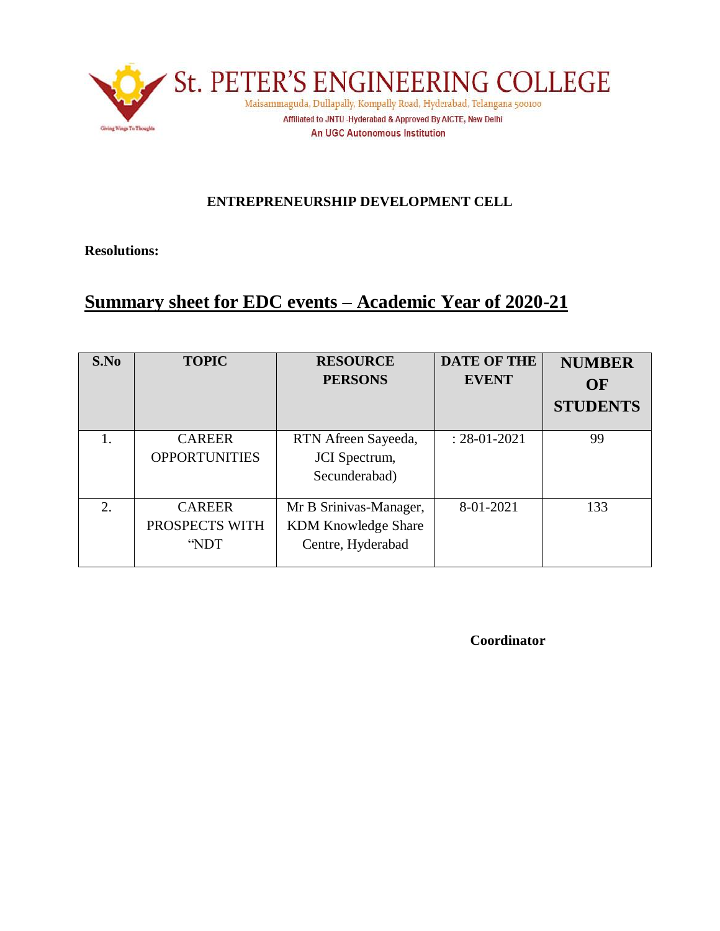

### **ENTREPRENEURSHIP DEVELOPMENT CELL**

**Resolutions:**

# **Summary sheet for EDC events – Academic Year of 2020-21**

| S.No | <b>TOPIC</b>                            | <b>RESOURCE</b><br><b>PERSONS</b>                                         | <b>DATE OF THE</b><br><b>EVENT</b> | <b>NUMBER</b><br>OF<br><b>STUDENTS</b> |
|------|-----------------------------------------|---------------------------------------------------------------------------|------------------------------------|----------------------------------------|
| 1.   | <b>CAREER</b><br><b>OPPORTUNITIES</b>   | RTN Afreen Sayeeda,<br>JCI Spectrum,<br>Secunderabad)                     | $: 28 - 01 - 2021$                 | 99                                     |
| 2.   | <b>CAREER</b><br>PROSPECTS WITH<br>"NDT | Mr B Srinivas-Manager,<br><b>KDM Knowledge Share</b><br>Centre, Hyderabad | 8-01-2021                          | 133                                    |

**Coordinator**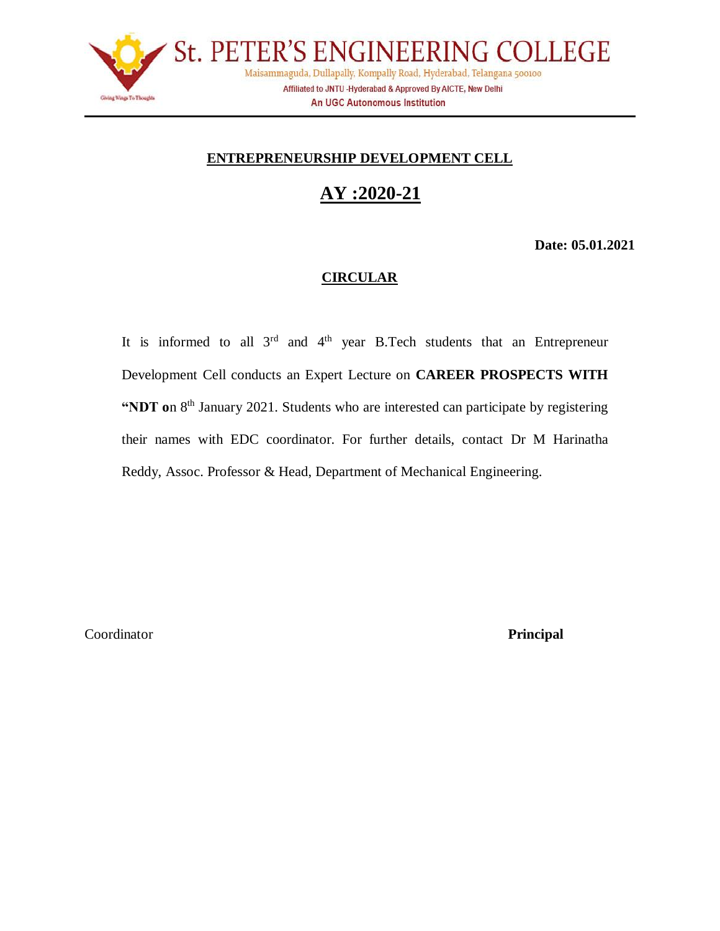

### **ENTREPRENEURSHIP DEVELOPMENT CELL**

# **AY :2020-21**

**Date: 05.01.2021**

#### **CIRCULAR**

It is informed to all  $3<sup>rd</sup>$  and  $4<sup>th</sup>$  year B.Tech students that an Entrepreneur Development Cell conducts an Expert Lecture on **CAREER PROSPECTS WITH**  "NDT on 8<sup>th</sup> January 2021. Students who are interested can participate by registering their names with EDC coordinator. For further details, contact Dr M Harinatha Reddy, Assoc. Professor & Head, Department of Mechanical Engineering.

Coordinator **Principal**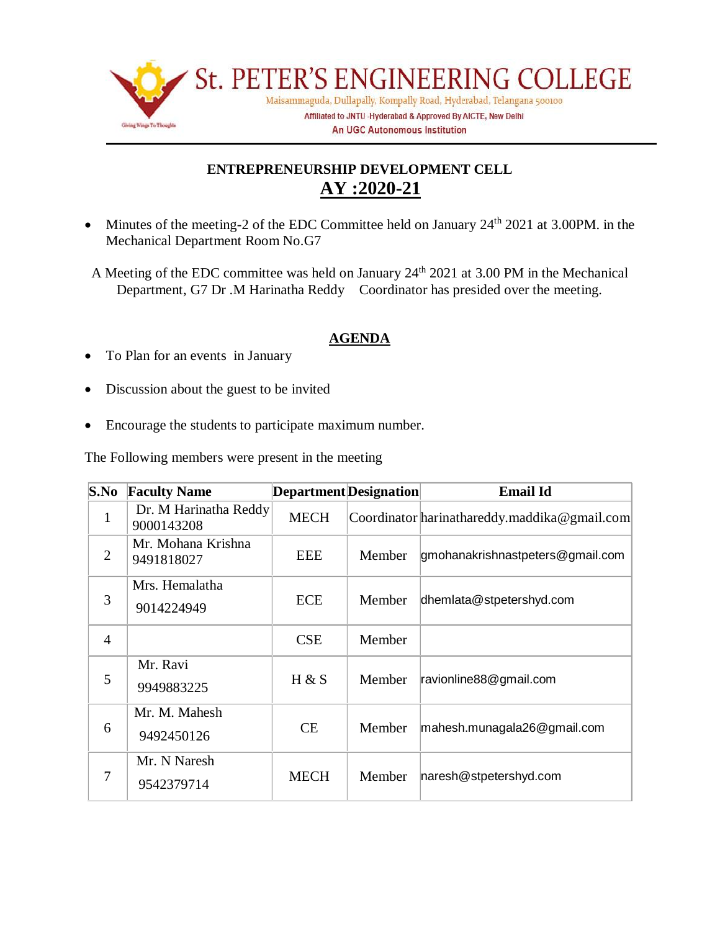

### **ENTREPRENEURSHIP DEVELOPMENT CELL AY :2020-21**

- Minutes of the meeting-2 of the EDC Committee held on January 24<sup>th</sup> 2021 at 3.00PM. in the Mechanical Department Room No.G7
- A Meeting of the EDC committee was held on January  $24<sup>th</sup> 2021$  at 3.00 PM in the Mechanical Department, G7 Dr .M Harinatha Reddy Coordinator has presided over the meeting.

### **AGENDA**

- To Plan for an events in January
- Discussion about the guest to be invited
- Encourage the students to participate maximum number.

The Following members were present in the meeting

| S.No           | <b>Faculty Name</b>                 | Department Designation |        | <b>Email Id</b>                              |
|----------------|-------------------------------------|------------------------|--------|----------------------------------------------|
| $\mathbf{1}$   | Dr. M Harinatha Reddy<br>9000143208 | <b>MECH</b>            |        | Coordinator harinathareddy.maddika@gmail.com |
| 2              | Mr. Mohana Krishna<br>9491818027    | <b>EEE</b>             | Member | gmohanakrishnastpeters@gmail.com             |
| 3              | Mrs. Hemalatha<br>9014224949        | ECE                    | Member | dhemlata@stpetershyd.com                     |
| $\overline{4}$ |                                     | <b>CSE</b>             | Member |                                              |
| 5              | Mr. Ravi<br>9949883225              | H & S                  | Member | ravionline88@gmail.com                       |
| 6              | Mr. M. Mahesh<br>9492450126         | <b>CE</b>              | Member | mahesh.munagala26@gmail.com                  |
| 7              | Mr. N Naresh<br>9542379714          | <b>MECH</b>            | Member | naresh@stpetershyd.com                       |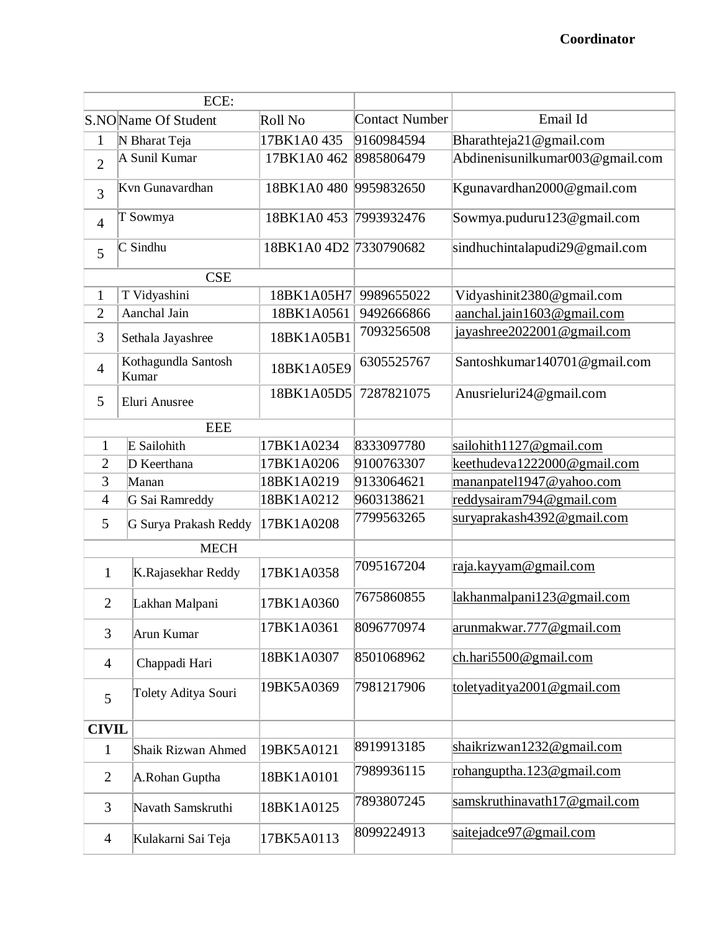| ECE:                           |                              |                        |            |                                 |
|--------------------------------|------------------------------|------------------------|------------|---------------------------------|
| S.NOName Of Student<br>Roll No |                              | Contact Number         | Email Id   |                                 |
| $\mathbf{1}$                   | 17BK1A0435<br>N Bharat Teja  |                        | 9160984594 | Bharathteja21@gmail.com         |
| $\overline{2}$                 | A Sunil Kumar                | 17BK1A0462             | 8985806479 | Abdinenisunilkumar003@gmail.com |
| 3                              | Kvn Gunavardhan              | 18BK1A0480             | 9959832650 | Kgunavardhan2000@gmail.com      |
| $\overline{4}$                 | T Sowmya                     | 18BK1A0453             | 7993932476 | Sowmya.puduru123@gmail.com      |
| 5                              | $\mathbb C$ Sindhu           | 18BK1A0 4D2 7330790682 |            | sindhuchintalapudi29@gmail.com  |
|                                | <b>CSE</b>                   |                        |            |                                 |
| $\mathbf{1}$                   | T Vidyashini                 | 18BK1A05H7             | 9989655022 | Vidyashinit2380@gmail.com       |
| $\overline{2}$                 | Aanchal Jain                 | 18BK1A0561             | 9492666866 | aanchal.jain1603@gmail.com      |
| 3                              | Sethala Jayashree            | 18BK1A05B1             | 7093256508 | jayashree2022001@gmail.com      |
| $\overline{4}$                 | Kothagundla Santosh<br>Kumar | 18BK1A05E9             | 6305525767 | Santoshkumar140701@gmail.com    |
| 5                              | Eluri Anusree                | 18BK1A05D5             | 7287821075 | Anusrieluri24@gmail.com         |
|                                | <b>EEE</b>                   |                        |            |                                 |
| $\mathbf{1}$                   | E Sailohith                  | 17BK1A0234             | 8333097780 | sailohith1127@gmail.com         |
| $\overline{2}$                 | D Keerthana                  | 17BK1A0206             | 9100763307 | keethudeva1222000@gmail.com     |
| 3                              | Manan                        | 18BK1A0219             | 9133064621 | mananpatel1947@yahoo.com        |
| $\overline{4}$                 | G Sai Ramreddy               | 18BK1A0212             | 9603138621 | reddysairam794@gmail.com        |
| 5                              | G Surya Prakash Reddy        | 17BK1A0208             | 7799563265 | suryaprakash4392@gmail.com      |
|                                | <b>MECH</b>                  |                        |            |                                 |
| $\mathbf{1}$                   | K.Rajasekhar Reddy           | 17BK1A0358             | 7095167204 | raja.kayyam@gmail.com           |
| $\overline{2}$                 | Lakhan Malpani               | 17BK1A0360             | 7675860855 | lakhanmalpani123@gmail.com      |
| 3                              | Arun Kumar                   | 17BK1A0361             | 8096770974 | arunmakwar.777@gmail.com        |
| $\overline{4}$                 | Chappadi Hari                | 18BK1A0307             | 8501068962 | $ch. hari 5500$ @gmail.com      |
| 5                              | Tolety Aditya Souri          | 19BK5A0369             | 7981217906 | toletyaditya2001@gmail.com      |
| <b>CIVIL</b>                   |                              |                        |            |                                 |
| $\mathbf{1}$                   | Shaik Rizwan Ahmed           | 19BK5A0121             | 8919913185 | shaikrizwan1232@gmail.com       |
| $\overline{2}$                 | A.Rohan Guptha               | 18BK1A0101             | 7989936115 | rohanguptha.123@gmail.com       |
| 3                              | Navath Samskruthi            | 18BK1A0125             | 7893807245 | samskruthinavath17@gmail.com    |
| $\overline{4}$                 | Kulakarni Sai Teja           | 17BK5A0113             | 8099224913 | saitejadce97@gmail.com          |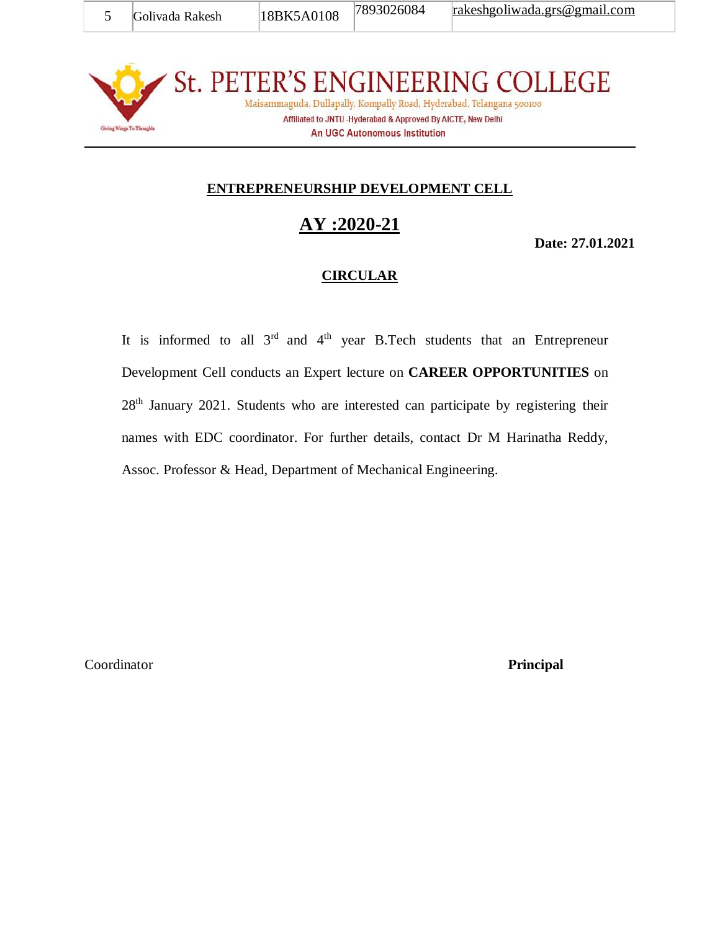St. PETER'S ENGINEERING COLLEGE Maisammaguda, Dullapally, Kompally Road, Hyderabad, Telangana 500100 Affiliated to JNTU -Hyderabad & Approved By AICTE, New Delhi Giving Wings To Thoughts

#### **An UGC Autonomous Institution**

### **ENTREPRENEURSHIP DEVELOPMENT CELL**

## **AY :2020-21**

**Date: 27.01.2021**

#### **CIRCULAR**

It is informed to all  $3^{rd}$  and  $4^{th}$  year B.Tech students that an Entrepreneur Development Cell conducts an Expert lecture on **CAREER OPPORTUNITIES** on 28<sup>th</sup> January 2021. Students who are interested can participate by registering their names with EDC coordinator. For further details, contact Dr M Harinatha Reddy, Assoc. Professor & Head, Department of Mechanical Engineering.

Coordinator **Principal**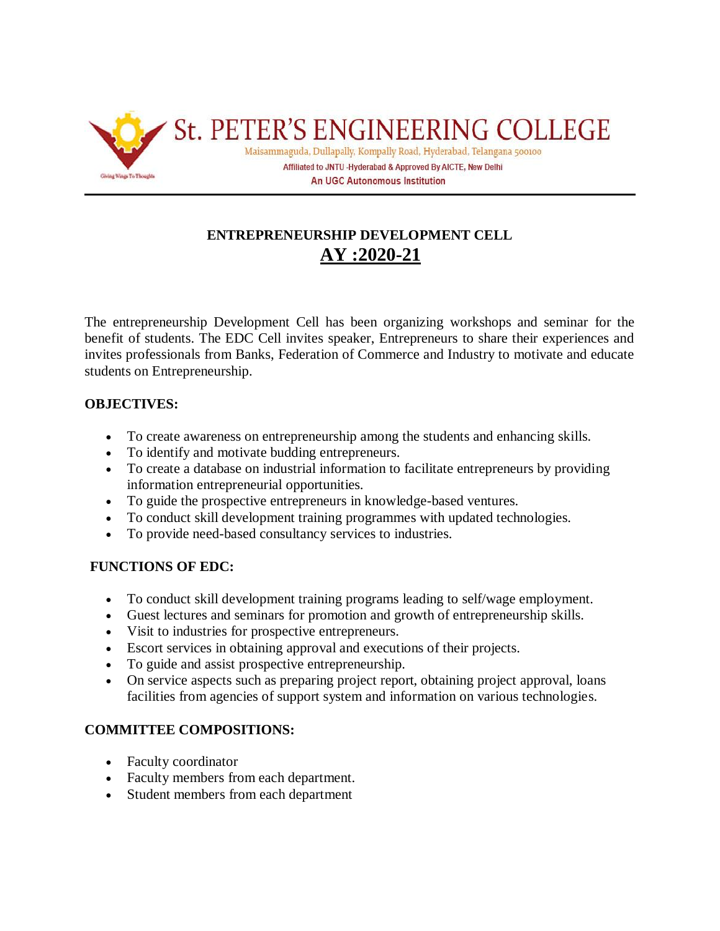

## **ENTREPRENEURSHIP DEVELOPMENT CELL AY :2020-21**

The entrepreneurship Development Cell has been organizing workshops and seminar for the benefit of students. The EDC Cell invites speaker, Entrepreneurs to share their experiences and invites professionals from Banks, Federation of Commerce and Industry to motivate and educate students on Entrepreneurship.

#### **OBJECTIVES:**

- To create awareness on entrepreneurship among the students and enhancing skills.
- To identify and motivate budding entrepreneurs.
- To create a database on industrial information to facilitate entrepreneurs by providing information entrepreneurial opportunities.
- To guide the prospective entrepreneurs in knowledge-based ventures.
- To conduct skill development training programmes with updated technologies.
- To provide need-based consultancy services to industries.

### **FUNCTIONS OF EDC:**

- To conduct skill development training programs leading to self/wage employment.
- Guest lectures and seminars for promotion and growth of entrepreneurship skills.
- Visit to industries for prospective entrepreneurs.
- Escort services in obtaining approval and executions of their projects.
- To guide and assist prospective entrepreneurship.
- On service aspects such as preparing project report, obtaining project approval, loans facilities from agencies of support system and information on various technologies.

### **COMMITTEE COMPOSITIONS:**

- Faculty coordinator
- Faculty members from each department.
- Student members from each department